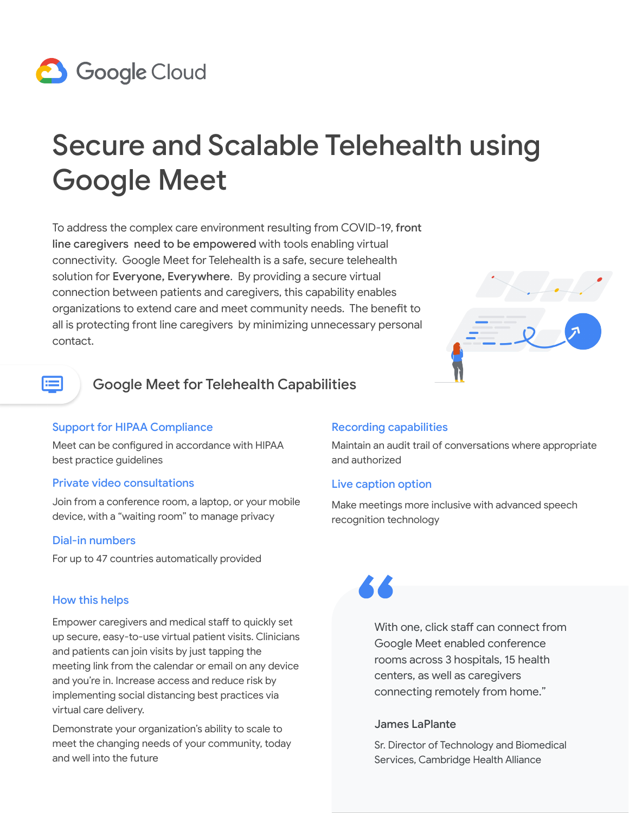# **8** Google Cloud

# Secure and Scalable Telehealth using Google Meet

To address the complex care environment resulting from COVID-19, front line caregivers need to be empowered with tools enabling virtual connectivity. Google Meet for Telehealth is a safe, secure telehealth solution for Everyone, Everywhere. By providing a secure virtual connection between patients and caregivers, this capability enables organizations to extend care and meet community needs. The benefit to all is protecting front line caregivers by minimizing unnecessary personal contact.



# E

## Google Meet for Telehealth Capabilities

### Support for HIPAA Compliance

Meet can be configured in accordance with HIPAA best practice guidelines

### Private video consultations

Join from a conference room, a laptop, or your mobile device, with a "waiting room" to manage privacy

### Dial-in numbers

For up to 47 countries automatically provided

### How this helps

Empower caregivers and medical staff to quickly set up secure, easy-to-use virtual patient visits. Clinicians and patients can join visits by just tapping the meeting link from the calendar or email on any device and you're in. Increase access and reduce risk by implementing social distancing best practices via virtual care delivery.

Demonstrate your organization's ability to scale to meet the changing needs of your community, today and well into the future

### Recording capabilities

Maintain an audit trail of conversations where appropriate and authorized

### Live caption option

Make meetings more inclusive with advanced speech recognition technology

With one, click staff can connect from Google Meet enabled conference rooms across 3 hospitals, 15 health centers, as well as caregivers connecting remotely from home."

### James LaPlante

Sr. Director of Technology and Biomedical Services, Cambridge Health Alliance